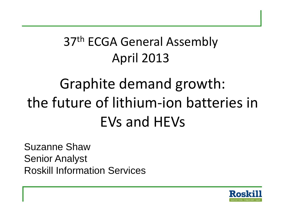### 37<sup>th</sup> ECGA General Assembly April 2013

# Graphite demand growth: the future of lithium-ion batteries in EVs and HEVs

Suzanne Shaw Senior Analyst Roskill Information Services

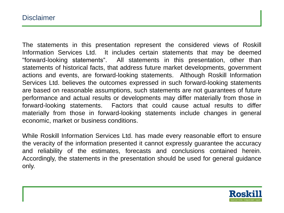The statements in this presentation represent the considered views of Roskill Information Services Ltd. It includes certain statements that may be deemed "forward-looking statements". All statements in this presentation, other than statements of historical facts, that address future market developments, government actions and events, are forward-looking statements. Although Roskill Information Services Ltd. believes the outcomes expressed in such forward-looking statements are based on reasonable assumptions, such statements are not guarantees of future performance and actual results or developments may differ materially from those in forward-looking statements. Factors that could cause actual results to differ materially from those in forward-looking statements include changes in general economic, market or business conditions.

While Roskill Information Services Ltd. has made every reasonable effort to ensure the veracity of the information presented it cannot expressly guarantee the accuracy and reliability of the estimates, forecasts and conclusions contained herein. Accordingly, the statements in the presentation should be used for general guidance only.

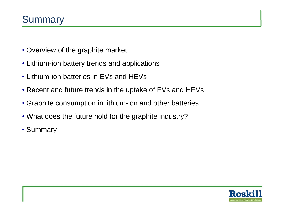- Overview of the graphite market
- Lithium-ion battery trends and applications
- Lithium-ion batteries in EVs and HEVs
- Recent and future trends in the uptake of EVs and HEVs
- Graphite consumption in lithium-ion and other batteries
- What does the future hold for the graphite industry?
- Summary

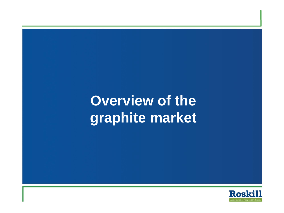# **Overview of the graphite market**

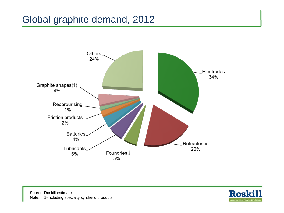#### Global graphite demand, 2012



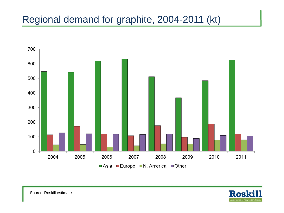#### Regional demand for graphite, 2004-2011 (kt)



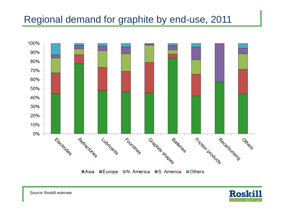#### Regional demand for graphite by end-use, 2011





Source: Roskill estimate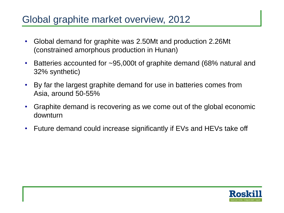#### Global graphite market overview, 2012

- Global demand for graphite was 2.50Mt and production 2.26Mt (constrained amorphous production in Hunan)
- Batteries accounted for ~95,000t of graphite demand (68% natural and 32% synthetic)
- By far the largest graphite demand for use in batteries comes from Asia, around 50-55%
- Graphite demand is recovering as we come out of the global economic downturn
- Future demand could increase significantly if EVs and HEVs take off

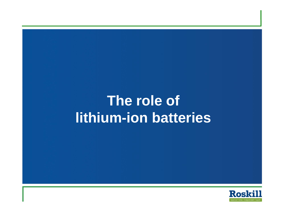# **The role of lithium-ion batteries**

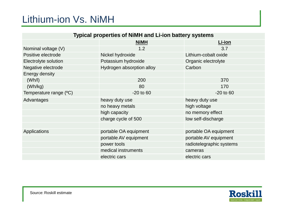#### Lithium-ion Vs. NiMH

| <b>Typical properties of NiMH and Li-ion battery systems</b> |                           |                          |  |  |  |
|--------------------------------------------------------------|---------------------------|--------------------------|--|--|--|
|                                                              | <b>NiMH</b>               | Li-ion                   |  |  |  |
| Nominal voltage (V)                                          | 1.2                       | 3.7                      |  |  |  |
| Positive electrode                                           | Nickel hydroxide          | Lithium-cobalt oxide     |  |  |  |
| Electrolyte solution                                         | Potassium hydroxide       | Organic electrolyte      |  |  |  |
| Negative electrode                                           | Hydrogen absorption alloy | Carbon                   |  |  |  |
| Energy density                                               |                           |                          |  |  |  |
| (Wh/l)                                                       | 200                       | 370                      |  |  |  |
| (Wh/kg)                                                      | 80                        | 170                      |  |  |  |
| Temperature range (°C)                                       | $-20$ to 60               | $-20$ to $60$            |  |  |  |
| Advantages                                                   | heavy duty use            | heavy duty use           |  |  |  |
|                                                              | no heavy metals           | high voltage             |  |  |  |
|                                                              | high capacity             | no memory effect         |  |  |  |
|                                                              | charge cycle of 500       | low self-discharge       |  |  |  |
|                                                              |                           |                          |  |  |  |
| Applications                                                 | portable OA equipment     | portable OA equipment    |  |  |  |
|                                                              | portable AV equipment     | portable AV equipment    |  |  |  |
|                                                              | power tools               | radiotelegraphic systems |  |  |  |
|                                                              | medical instruments       | cameras                  |  |  |  |
|                                                              | electric cars             | electric cars            |  |  |  |

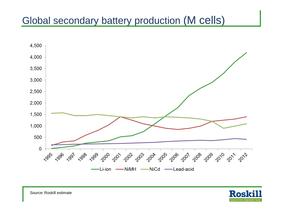### Global secondary battery production (M cells)





Source: Roskill estimate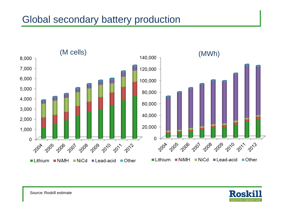#### Global secondary battery production



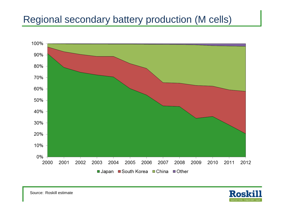### Regional secondary battery production (M cells)





Source: Roskill estimate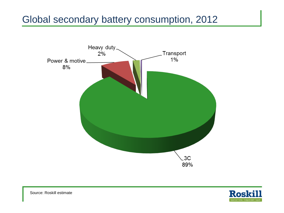#### Global secondary battery consumption, 2012





Source: Roskill estimate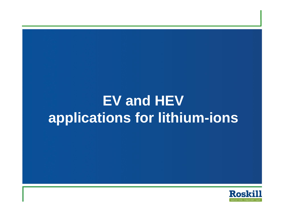# **EV and HEV applications for lithium-ions**

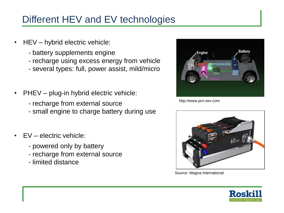### Different HEV and EV technologies

- HEV hybrid electric vehicle:
	- battery supplements engine
	- recharge using excess energy from vehicle
	- several types: full, power assist, mild/micro
- PHEV plug-in hybrid electric vehicle:
	- recharge from external source
	- small engine to charge battery during use
- FV electric vehicle:
	- powered only by battery
	- recharge from external source
	- limited distance



http://www.pro-zev.com



Source: Magna international

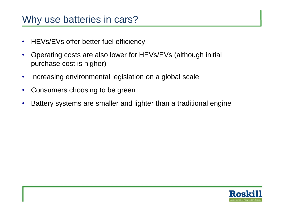#### Why use batteries in cars?

- HEVs/EVs offer better fuel efficiency
- Operating costs are also lower for HEVs/EVs (although initial purchase cost is higher)
- Increasing environmental legislation on a global scale
- Consumers choosing to be green
- Battery systems are smaller and lighter than a traditional engine

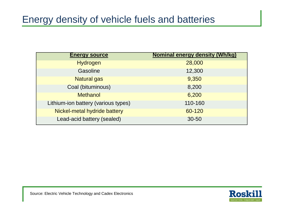#### Energy density of vehicle fuels and batteries

| <b>Energy source</b>                | <b>Nominal energy density (Wh/kg)</b> |
|-------------------------------------|---------------------------------------|
| Hydrogen                            | 28,000                                |
| <b>Gasoline</b>                     | 12,300                                |
| <b>Natural gas</b>                  | 9,350                                 |
| Coal (bituminous)                   | 8,200                                 |
| <b>Methanol</b>                     | 6,200                                 |
| Lithium-ion battery (various types) | 110-160                               |
| Nickel-metal hydride battery        | 60-120                                |
| Lead-acid battery (sealed)          | $30 - 50$                             |

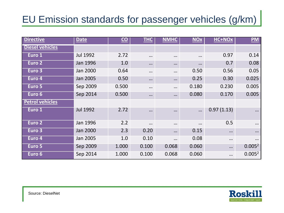### EU Emission standards for passenger vehicles (g/km)

| <b>Directive</b>       | <b>Date</b>     | $\underline{\mathbf{CO}}$ | <b>THC</b> | <b>NMHC</b> | <b>NOx</b> | HC+NOx     | <b>PM</b>          |
|------------------------|-----------------|---------------------------|------------|-------------|------------|------------|--------------------|
| <b>Diesel vehicles</b> |                 |                           |            |             |            |            |                    |
| Euro 1                 | <b>Jul 1992</b> | 2.72                      |            | $\cdots$    | $\cdots$   | 0.97       | 0.14               |
| Euro <sub>2</sub>      | <b>Jan 1996</b> | 1.0                       | $\cdots$   | $\cdots$    | $\cdots$   | 0.7        | 0.08               |
| Euro 3                 | Jan 2000        | 0.64                      | $\ddotsc$  | $\cdots$    | 0.50       | 0.56       | 0.05               |
| Euro 4                 | Jan 2005        | 0.50                      | $\cdots$   | $\cdots$    | 0.25       | 0.30       | 0.025              |
| Euro 5                 | Sep 2009        | 0.500                     |            | $\cdots$    | 0.180      | 0.230      | 0.005              |
| Euro 6                 | Sep 2014        | 0.500                     | $\cdots$   | $\cdots$    | 0.080      | 0.170      | 0.005              |
| <b>Petrol vehicles</b> |                 |                           |            |             |            |            |                    |
| Euro 1                 | <b>Jul 1992</b> | 2.72                      | $\ddotsc$  | $\cdots$    | $\cdots$   | 0.97(1.13) | $\ddotsc$          |
| Euro 2                 | Jan 1996        | 2.2                       | $\cdots$   | $\cdots$    | $\cdots$   | 0.5        |                    |
| Eur <u>o</u> 3         | Jan 2000        | 2.3                       | 0.20       | $\cdots$    | 0.15       | $\cdots$   | $\ddotsc$          |
| Euro 4                 | Jan 2005        | 1.0                       | 0.10       | $\cdots$    | 0.08       | $\cdots$   | $\cdots$           |
| Euro 5                 | Sep 2009        | 1.000                     | 0.100      | 0.068       | 0.060      |            | 0.005 <sup>2</sup> |
| Euro 6                 | Sep 2014        | 1.000                     | 0.100      | 0.068       | 0.060      | $\ddotsc$  | 0.005 <sup>2</sup> |

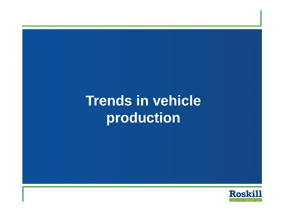# **Trends in vehicle production**

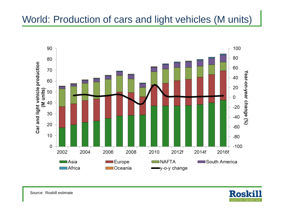#### World: Production of cars and light vehicles (M units)



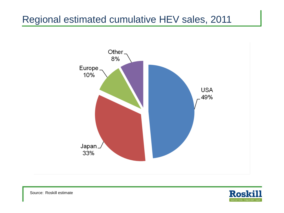#### Regional estimated cumulative HEV sales, 2011





Source: Roskill estimate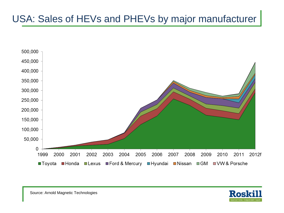### USA: Sales of HEVs and PHEVs by major manufacturer

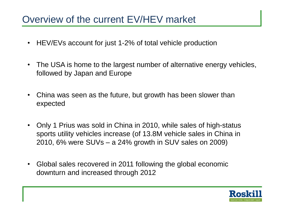#### Overview of the current EV/HEV market

- HEV/EVs account for just 1-2% of total vehicle production
- The USA is home to the largest number of alternative energy vehicles, followed by Japan and Europe
- China was seen as the future, but growth has been slower than expected
- Only 1 Prius was sold in China in 2010, while sales of high-status sports utility vehicles increase (of 13.8M vehicle sales in China in 2010, 6% were SUVs – a 24% growth in SUV sales on 2009)
- Global sales recovered in 2011 following the global economic downturn and increased through 2012

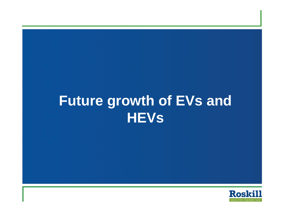# **Future growth of EVs and HEVs**

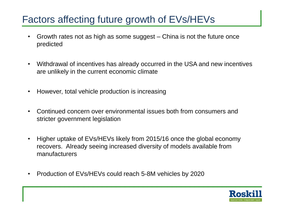#### Factors affecting future growth of EVs/HEVs

- Growth rates not as high as some suggest China is not the future once predicted
- Withdrawal of incentives has already occurred in the USA and new incentives are unlikely in the current economic climate
- However, total vehicle production is increasing
- Continued concern over environmental issues both from consumers and stricter government legislation
- Higher uptake of EVs/HEVs likely from 2015/16 once the global economy recovers. Already seeing increased diversity of models available from manufacturers
- Production of EVs/HEVs could reach 5-8M vehicles by 2020

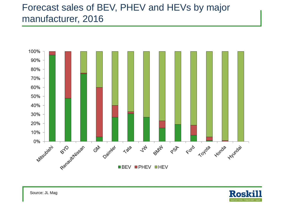#### Forecast sales of BEV, PHEV and HEVs by major manufacturer, 2016

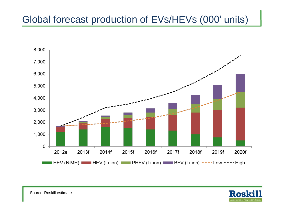### Global forecast production of EVs/HEVs (000' units)





Source: Roskill estimate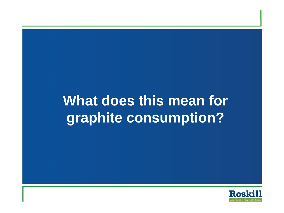# **What does this mean for graphite consumption?**

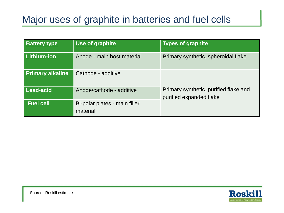### Major uses of graphite in batteries and fuel cells

| <b>Battery type</b>     | Use of graphite                           | <b>Types of graphite</b>                                         |  |  |
|-------------------------|-------------------------------------------|------------------------------------------------------------------|--|--|
| Lithium-ion             | Anode - main host material                | Primary synthetic, spheroidal flake                              |  |  |
| <b>Primary alkaline</b> | Cathode - additive                        |                                                                  |  |  |
| <b>Lead-acid</b>        | Anode/cathode - additive                  | Primary synthetic, purified flake and<br>purified expanded flake |  |  |
| <b>Fuel cell</b>        | Bi-polar plates - main filler<br>material |                                                                  |  |  |

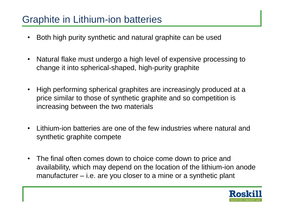#### Graphite in Lithium-ion batteries

- Both high purity synthetic and natural graphite can be used
- Natural flake must undergo a high level of expensive processing to change it into spherical-shaped, high-purity graphite
- High performing spherical graphites are increasingly produced at a price similar to those of synthetic graphite and so competition is increasing between the two materials
- Lithium-ion batteries are one of the few industries where natural and synthetic graphite compete
- The final often comes down to choice come down to price and availability, which may depend on the location of the lithium-ion anode manufacturer – i.e. are you closer to a mine or a synthetic plant

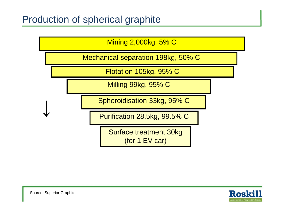Mining 2,000kg, 5% C

Mechanical separation 198kg, 50% C

Flotation 105kg, 95% C

Milling 99kg, 95% C

Spheroidisation 33kg, 95% C

Purification 28.5kg, 99.5% C

Surface treatment 30kg (for 1 EV car)

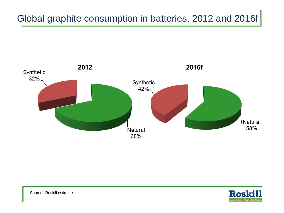### Global graphite consumption in batteries, 2012 and 2016f





Source: Roskill estimate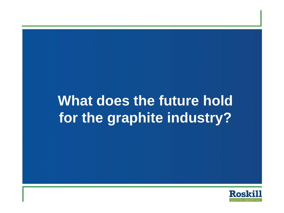# **What does the future hold for the graphite industry?**

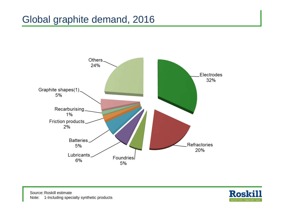#### Global graphite demand, 2016



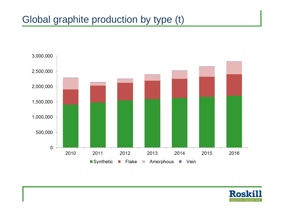#### Global graphite production by type (t)



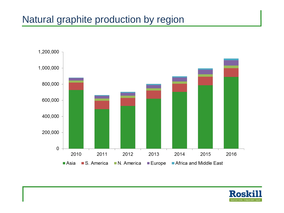#### Natural graphite production by region



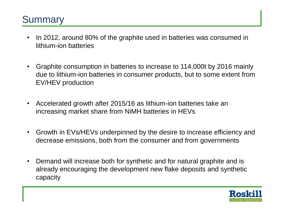#### **Summary**

- In 2012, around 80% of the graphite used in batteries was consumed in lithium-ion batteries
- Graphite consumption in batteries to increase to 114,000t by 2016 mainly due to lithium-ion batteries in consumer products, but to some extent from EV/HEV production
- Accelerated growth after 2015/16 as lithium-ion batteries take an increasing market share from NiMH batteries in HEVs
- Growth in EVs/HEVs underpinned by the desire to increase efficiency and decrease emissions, both from the consumer and from governments
- Demand will increase both for synthetic and for natural graphite and is already encouraging the development new flake deposits and synthetic capacity